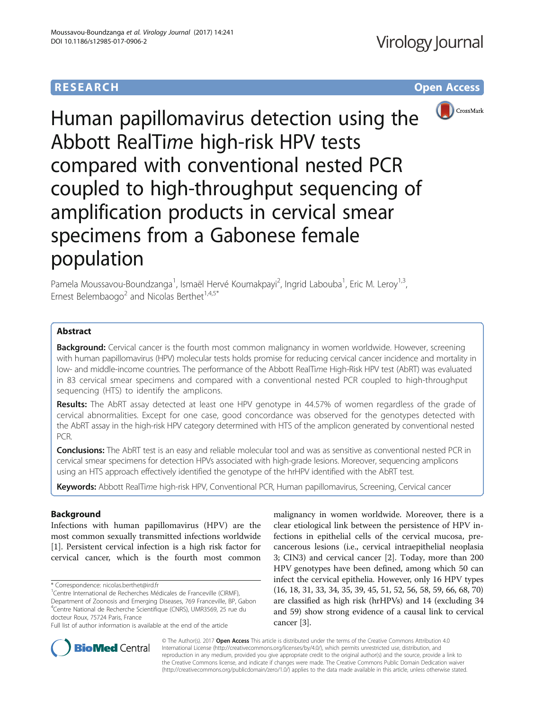# **RESEARCH CHE Open Access**



Human papillomavirus detection using the Abbott RealTime high-risk HPV tests compared with conventional nested PCR coupled to high-throughput sequencing of amplification products in cervical smear specimens from a Gabonese female population

Pamela Moussavou-Boundzanga<sup>1</sup>, Ismaël Hervé Koumakpayi<sup>2</sup>, Ingrid Labouba<sup>1</sup>, Eric M. Leroy<sup>1,3</sup>, Ernest Belembaogo<sup>2</sup> and Nicolas Berthet<sup>1,4,5\*</sup>

# Abstract

Background: Cervical cancer is the fourth most common malignancy in women worldwide. However, screening with human papillomavirus (HPV) molecular tests holds promise for reducing cervical cancer incidence and mortality in low- and middle-income countries. The performance of the Abbott RealTime High-Risk HPV test (AbRT) was evaluated in 83 cervical smear specimens and compared with a conventional nested PCR coupled to high-throughput sequencing (HTS) to identify the amplicons.

Results: The AbRT assay detected at least one HPV genotype in 44.57% of women regardless of the grade of cervical abnormalities. Except for one case, good concordance was observed for the genotypes detected with the AbRT assay in the high-risk HPV category determined with HTS of the amplicon generated by conventional nested PCR.

Conclusions: The AbRT test is an easy and reliable molecular tool and was as sensitive as conventional nested PCR in cervical smear specimens for detection HPVs associated with high-grade lesions. Moreover, sequencing amplicons using an HTS approach effectively identified the genotype of the hrHPV identified with the AbRT test.

Keywords: Abbott RealTime high-risk HPV, Conventional PCR, Human papillomavirus, Screening, Cervical cancer

# Background

Infections with human papillomavirus (HPV) are the most common sexually transmitted infections worldwide [[1\]](#page-6-0). Persistent cervical infection is a high risk factor for cervical cancer, which is the fourth most common

<sup>1</sup>Centre International de Recherches Médicales de Franceville (CIRMF), Department of Zoonosis and Emerging Diseases, 769 Franceville, BP, Gabon

4 Centre National de Recherche Scientifique (CNRS), UMR3569, 25 rue du docteur Roux, 75724 Paris, France

malignancy in women worldwide. Moreover, there is a clear etiological link between the persistence of HPV infections in epithelial cells of the cervical mucosa, precancerous lesions (i.e., cervical intraepithelial neoplasia 3; CIN3) and cervical cancer [[2](#page-6-0)]. Today, more than 200 HPV genotypes have been defined, among which 50 can infect the cervical epithelia. However, only 16 HPV types (16, 18, 31, 33, 34, 35, 39, 45, 51, 52, 56, 58, 59, 66, 68, 70) are classified as high risk (hrHPVs) and 14 (excluding 34 and 59) show strong evidence of a causal link to cervical cancer [[3](#page-6-0)].



© The Author(s). 2017 **Open Access** This article is distributed under the terms of the Creative Commons Attribution 4.0 International License [\(http://creativecommons.org/licenses/by/4.0/](http://creativecommons.org/licenses/by/4.0/)), which permits unrestricted use, distribution, and reproduction in any medium, provided you give appropriate credit to the original author(s) and the source, provide a link to the Creative Commons license, and indicate if changes were made. The Creative Commons Public Domain Dedication waiver [\(http://creativecommons.org/publicdomain/zero/1.0/](http://creativecommons.org/publicdomain/zero/1.0/)) applies to the data made available in this article, unless otherwise stated.

<sup>\*</sup> Correspondence: [nicolas.berthet@ird.fr](mailto:nicolas.berthet@ird.fr) <sup>1</sup>

Full list of author information is available at the end of the article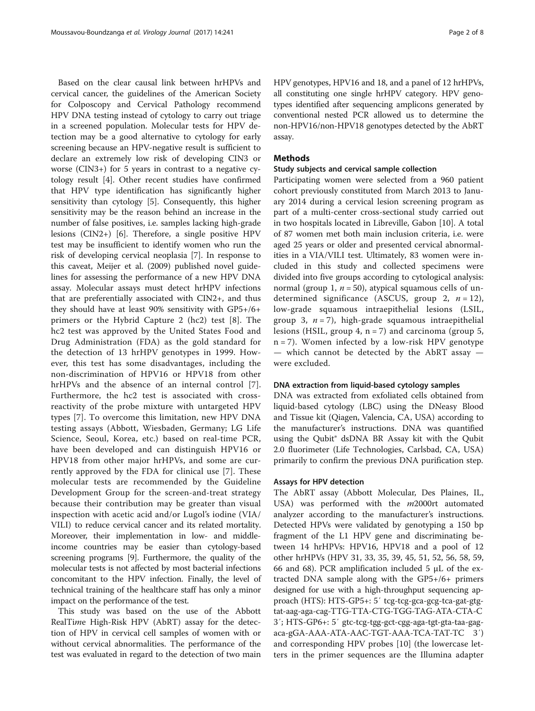Based on the clear causal link between hrHPVs and cervical cancer, the guidelines of the American Society for Colposcopy and Cervical Pathology recommend HPV DNA testing instead of cytology to carry out triage in a screened population. Molecular tests for HPV detection may be a good alternative to cytology for early screening because an HPV-negative result is sufficient to declare an extremely low risk of developing CIN3 or worse (CIN3+) for 5 years in contrast to a negative cytology result [[4](#page-6-0)]. Other recent studies have confirmed that HPV type identification has significantly higher sensitivity than cytology [[5\]](#page-6-0). Consequently, this higher sensitivity may be the reason behind an increase in the number of false positives, i.e. samples lacking high-grade lesions (CIN2+) [\[6](#page-6-0)]. Therefore, a single positive HPV test may be insufficient to identify women who run the risk of developing cervical neoplasia [[7\]](#page-6-0). In response to this caveat, Meijer et al. (2009) published novel guidelines for assessing the performance of a new HPV DNA assay. Molecular assays must detect hrHPV infections that are preferentially associated with CIN2+, and thus they should have at least 90% sensitivity with GP5+/6+ primers or the Hybrid Capture 2 (hc2) test [[8\]](#page-6-0). The hc2 test was approved by the United States Food and Drug Administration (FDA) as the gold standard for the detection of 13 hrHPV genotypes in 1999. However, this test has some disadvantages, including the non-discrimination of HPV16 or HPV18 from other hrHPVs and the absence of an internal control [[7](#page-6-0)]. Furthermore, the hc2 test is associated with crossreactivity of the probe mixture with untargeted HPV types [[7](#page-6-0)]. To overcome this limitation, new HPV DNA testing assays (Abbott, Wiesbaden, Germany; LG Life Science, Seoul, Korea, etc.) based on real-time PCR, have been developed and can distinguish HPV16 or HPV18 from other major hrHPVs, and some are currently approved by the FDA for clinical use [\[7](#page-6-0)]. These molecular tests are recommended by the Guideline Development Group for the screen-and-treat strategy because their contribution may be greater than visual inspection with acetic acid and/or Lugol's iodine (VIA/ VILI) to reduce cervical cancer and its related mortality. Moreover, their implementation in low- and middleincome countries may be easier than cytology-based screening programs [[9\]](#page-6-0). Furthermore, the quality of the molecular tests is not affected by most bacterial infections concomitant to the HPV infection. Finally, the level of technical training of the healthcare staff has only a minor impact on the performance of the test.

This study was based on the use of the Abbott RealTime High-Risk HPV (AbRT) assay for the detection of HPV in cervical cell samples of women with or without cervical abnormalities. The performance of the test was evaluated in regard to the detection of two main HPV genotypes, HPV16 and 18, and a panel of 12 hrHPVs, all constituting one single hrHPV category. HPV genotypes identified after sequencing amplicons generated by conventional nested PCR allowed us to determine the non-HPV16/non-HPV18 genotypes detected by the AbRT assay.

#### Methods

### Study subjects and cervical sample collection

Participating women were selected from a 960 patient cohort previously constituted from March 2013 to January 2014 during a cervical lesion screening program as part of a multi-center cross-sectional study carried out in two hospitals located in Libreville, Gabon [\[10](#page-6-0)]. A total of 87 women met both main inclusion criteria, i.e. were aged 25 years or older and presented cervical abnormalities in a VIA/VILI test. Ultimately, 83 women were included in this study and collected specimens were divided into five groups according to cytological analysis: normal (group 1,  $n = 50$ ), atypical squamous cells of undetermined significance (ASCUS, group 2,  $n = 12$ ), low-grade squamous intraepithelial lesions (LSIL, group 3,  $n = 7$ ), high-grade squamous intraepithelial lesions (HSIL, group 4,  $n = 7$ ) and carcinoma (group 5,  $n = 7$ ). Women infected by a low-risk HPV genotype — which cannot be detected by the AbRT assay were excluded.

#### DNA extraction from liquid-based cytology samples

DNA was extracted from exfoliated cells obtained from liquid-based cytology (LBC) using the DNeasy Blood and Tissue kit (Qiagen, Valencia, CA, USA) according to the manufacturer's instructions. DNA was quantified using the Qubit® dsDNA BR Assay kit with the Qubit 2.0 fluorimeter (Life Technologies, Carlsbad, CA, USA) primarily to confirm the previous DNA purification step.

#### Assays for HPV detection

The AbRT assay (Abbott Molecular, Des Plaines, IL, USA) was performed with the *m*2000rt automated analyzer according to the manufacturer's instructions. Detected HPVs were validated by genotyping a 150 bp fragment of the L1 HPV gene and discriminating between 14 hrHPVs: HPV16, HPV18 and a pool of 12 other hrHPVs (HPV 31, 33, 35, 39, 45, 51, 52, 56, 58, 59, 66 and 68). PCR amplification included 5 μL of the extracted DNA sample along with the GP5+/6+ primers designed for use with a high-throughput sequencing approach (HTS): HTS-GP5+: 5′ tcg-tcg-gca-gcg-tca-gat-gtgtat-aag-aga-cag-TTG-TTA-CTG-TGG-TAG-ATA-CTA-C 3′; HTS-GP6+: 5′ gtc-tcg-tgg-gct-cgg-aga-tgt-gta-taa-gagaca-gGA-AAA-ATA-AAC-TGT-AAA-TCA-TAT-TC 3′) and corresponding HPV probes [[10\]](#page-6-0) (the lowercase letters in the primer sequences are the Illumina adapter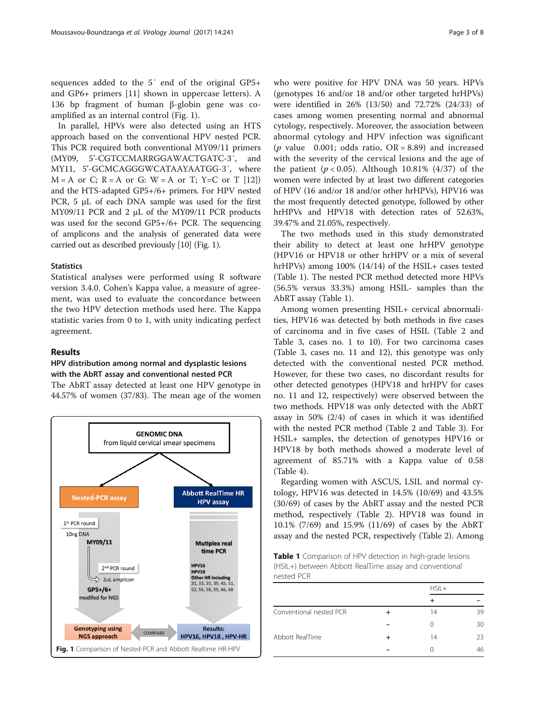sequences added to the 5′ end of the original GP5+ and GP6+ primers [[11\]](#page-6-0) shown in uppercase letters). A 136 bp fragment of human β-globin gene was coamplified as an internal control (Fig. 1).

In parallel, HPVs were also detected using an HTS approach based on the conventional HPV nested PCR. This PCR required both conventional MY09/11 primers (MY09, 5'-CGTCCMARRGGAWACTGATC-3′, and MY11, 5'-GCMCAGGGWCATAAYAATGG-3′, where  $M = A$  or C;  $R = A$  or G:  $W = A$  or T;  $Y = C$  or T [\[12](#page-6-0)]) and the HTS-adapted GP5+/6+ primers. For HPV nested PCR, 5 μL of each DNA sample was used for the first MY09/11 PCR and 2 μL of the MY09/11 PCR products was used for the second GP5+/6+ PCR. The sequencing of amplicons and the analysis of generated data were carried out as described previously [[10](#page-6-0)] (Fig. 1).

#### **Statistics**

Statistical analyses were performed using R software version 3.4.0. Cohen's Kappa value, a measure of agreement, was used to evaluate the concordance between the two HPV detection methods used here. The Kappa statistic varies from 0 to 1, with unity indicating perfect agreement.

### Results

### HPV distribution among normal and dysplastic lesions with the AbRT assay and conventional nested PCR

The AbRT assay detected at least one HPV genotype in 44.57% of women (37/83). The mean age of the women



who were positive for HPV DNA was 50 years. HPVs (genotypes 16 and/or 18 and/or other targeted hrHPVs) were identified in 26% (13/50) and 72.72% (24/33) of cases among women presenting normal and abnormal cytology, respectively. Moreover, the association between abnormal cytology and HPV infection was significant (*p* value 0.001; odds ratio,  $OR = 8.89$ ) and increased with the severity of the cervical lesions and the age of the patient ( $p < 0.05$ ). Although 10.81% (4/37) of the women were infected by at least two different categories of HPV (16 and/or 18 and/or other hrHPVs), HPV16 was the most frequently detected genotype, followed by other hrHPVs and HPV18 with detection rates of 52.63%, 39.47% and 21.05%, respectively.

The two methods used in this study demonstrated their ability to detect at least one hrHPV genotype (HPV16 or HPV18 or other hrHPV or a mix of several hrHPVs) among 100% (14/14) of the HSIL+ cases tested (Table 1). The nested PCR method detected more HPVs (56.5% versus 33.3%) among HSIL- samples than the AbRT assay (Table 1).

Among women presenting HSIL+ cervical abnormalities, HPV16 was detected by both methods in five cases of carcinoma and in five cases of HSIL (Table [2](#page-3-0) and Table [3,](#page-4-0) cases no. 1 to 10). For two carcinoma cases (Table [3](#page-4-0), cases no. 11 and 12), this genotype was only detected with the conventional nested PCR method. However, for these two cases, no discordant results for other detected genotypes (HPV18 and hrHPV for cases no. 11 and 12, respectively) were observed between the two methods. HPV18 was only detected with the AbRT assay in 50% (2/4) of cases in which it was identified with the nested PCR method (Table [2](#page-3-0) and Table [3\)](#page-4-0). For HSIL+ samples, the detection of genotypes HPV16 or HPV18 by both methods showed a moderate level of agreement of 85.71% with a Kappa value of 0.58 (Table [4\)](#page-5-0).

Regarding women with ASCUS, LSIL and normal cytology, HPV16 was detected in 14.5% (10/69) and 43.5% (30/69) of cases by the AbRT assay and the nested PCR method, respectively (Table [2](#page-3-0)). HPV18 was found in 10.1% (7/69) and 15.9% (11/69) of cases by the AbRT assay and the nested PCR, respectively (Table [2\)](#page-3-0). Among

Table 1 Comparison of HPV detection in high-grade lesions (HSIL+) between Abbott RealTime assay and conventional nested PCR

|                         | $HSIL+$  |    |
|-------------------------|----------|----|
|                         |          |    |
| Conventional nested PCR | 14       | 39 |
|                         | $\left($ | 30 |
| Abbott RealTime         | 14       | 23 |
|                         |          | 46 |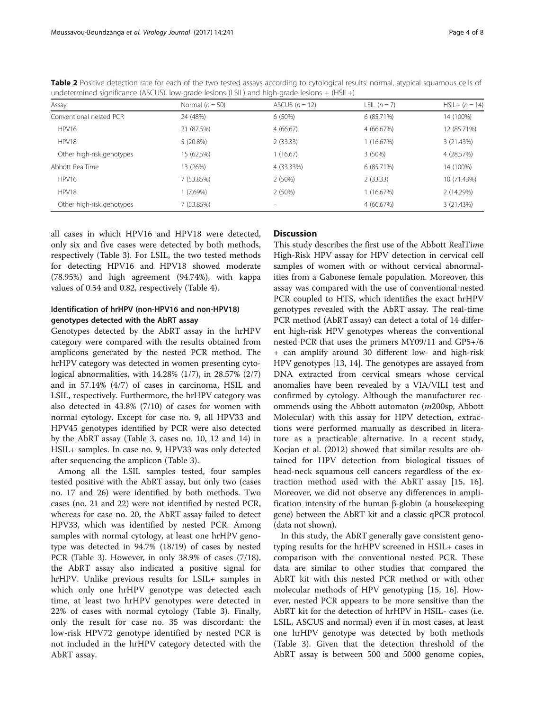| undetermined significance (ASCUS), low-grade lesions (LSIL) and nigh-grade lesions + (HSIL+) |                   |                  |              |                  |  |
|----------------------------------------------------------------------------------------------|-------------------|------------------|--------------|------------------|--|
| Assay                                                                                        | Normal $(n = 50)$ | ASCUS $(n = 12)$ | LSIL $(n=7)$ | $HSIL+ (n = 14)$ |  |
| Conventional nested PCR                                                                      | 24 (48%)          | $6(50\%)$        | 6 (85.71%)   | 14 (100%)        |  |
| HPV16                                                                                        | 21 (87.5%)        | 4(66.67)         | 4 (66.67%)   | 12 (85.71%)      |  |
| HPV18                                                                                        | 5(20.8%)          | 2(33.33)         | 1(16.67%)    | 3 (21.43%)       |  |
| Other high-risk genotypes                                                                    | 15 (62.5%)        | 1(16.67)         | $3(50\%)$    | 4 (28.57%)       |  |
| Abbott RealTime                                                                              | 13 (26%)          | 4 (33.33%)       | 6 (85.71%)   | 14 (100%)        |  |
| HPV16                                                                                        | 7 (53.85%)        | 2(50%)           | 2(33.33)     | 10 (71.43%)      |  |
| HPV18                                                                                        | 1 (7.69%)         | 2(50%)           | 1(16.67%)    | 2 (14.29%)       |  |
| Other high-risk genotypes                                                                    | 7 (53.85%)        |                  | 4 (66.67%)   | 3 (21.43%)       |  |

<span id="page-3-0"></span>**Table 2** Positive detection rate for each of the two tested assays according to cytological results: normal, atypical squamous cells of undetermined significance (ASCLIS) low grade lesions (CSU) and high grade lesions (CS undetermined significance (ASCUS), low-grade lesions (LSIL) and high-grade lesions + (HSIL+)

all cases in which HPV16 and HPV18 were detected, only six and five cases were detected by both methods, respectively (Table [3](#page-4-0)). For LSIL, the two tested methods for detecting HPV16 and HPV18 showed moderate (78.95%) and high agreement (94.74%), with kappa values of 0.54 and 0.82, respectively (Table [4\)](#page-5-0).

## Identification of hrHPV (non-HPV16 and non-HPV18) genotypes detected with the AbRT assay

Genotypes detected by the AbRT assay in the hrHPV category were compared with the results obtained from amplicons generated by the nested PCR method. The hrHPV category was detected in women presenting cytological abnormalities, with 14.28% (1/7), in 28.57% (2/7) and in 57.14% (4/7) of cases in carcinoma, HSIL and LSIL, respectively. Furthermore, the hrHPV category was also detected in 43.8% (7/10) of cases for women with normal cytology. Except for case no. 9, all HPV33 and HPV45 genotypes identified by PCR were also detected by the AbRT assay (Table [3,](#page-4-0) cases no. 10, 12 and 14) in HSIL+ samples. In case no. 9, HPV33 was only detected after sequencing the amplicon (Table [3\)](#page-4-0).

Among all the LSIL samples tested, four samples tested positive with the AbRT assay, but only two (cases no. 17 and 26) were identified by both methods. Two cases (no. 21 and 22) were not identified by nested PCR, whereas for case no. 20, the AbRT assay failed to detect HPV33, which was identified by nested PCR. Among samples with normal cytology, at least one hrHPV genotype was detected in 94.7% (18/19) of cases by nested PCR (Table [3](#page-4-0)). However, in only 38.9% of cases (7/18), the AbRT assay also indicated a positive signal for hrHPV. Unlike previous results for LSIL+ samples in which only one hrHPV genotype was detected each time, at least two hrHPV genotypes were detected in 22% of cases with normal cytology (Table [3](#page-4-0)). Finally, only the result for case no. 35 was discordant: the low-risk HPV72 genotype identified by nested PCR is not included in the hrHPV category detected with the AbRT assay.

# **Discussion**

This study describes the first use of the Abbott RealTime High-Risk HPV assay for HPV detection in cervical cell samples of women with or without cervical abnormalities from a Gabonese female population. Moreover, this assay was compared with the use of conventional nested PCR coupled to HTS, which identifies the exact hrHPV genotypes revealed with the AbRT assay. The real-time PCR method (AbRT assay) can detect a total of 14 different high-risk HPV genotypes whereas the conventional nested PCR that uses the primers MY09/11 and GP5+/6 + can amplify around 30 different low- and high-risk HPV genotypes [[13, 14\]](#page-6-0). The genotypes are assayed from DNA extracted from cervical smears whose cervical anomalies have been revealed by a VIA/VILI test and confirmed by cytology. Although the manufacturer recommends using the Abbott automaton (m200sp, Abbott Molecular) with this assay for HPV detection, extractions were performed manually as described in literature as a practicable alternative. In a recent study, Kocjan et al. (2012) showed that similar results are obtained for HPV detection from biological tissues of head-neck squamous cell cancers regardless of the extraction method used with the AbRT assay [[15, 16](#page-6-0)]. Moreover, we did not observe any differences in amplification intensity of the human β-globin (a housekeeping gene) between the AbRT kit and a classic qPCR protocol (data not shown).

In this study, the AbRT generally gave consistent genotyping results for the hrHPV screened in HSIL+ cases in comparison with the conventional nested PCR. These data are similar to other studies that compared the AbRT kit with this nested PCR method or with other molecular methods of HPV genotyping [\[15, 16\]](#page-6-0). However, nested PCR appears to be more sensitive than the AbRT kit for the detection of hrHPV in HSIL- cases (i.e. LSIL, ASCUS and normal) even if in most cases, at least one hrHPV genotype was detected by both methods (Table [3\)](#page-4-0). Given that the detection threshold of the AbRT assay is between 500 and 5000 genome copies,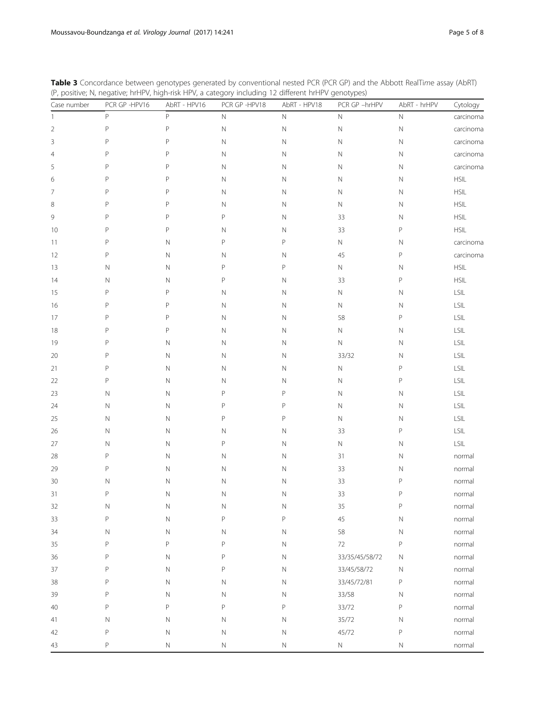| Case number    | PCR GP -HPV16 | AbRT - HPV16 | PCR GP -HPV18 | AbRT - HPV18 | PCR GP -hrHPV  | AbRT - hrHPV | Cytology                     |
|----------------|---------------|--------------|---------------|--------------|----------------|--------------|------------------------------|
| $\mathbf{1}$   | P             | P            | $\hbox{N}$    | $\mathsf N$  | $\hbox{N}$     | $\mathbb N$  | carcinoma                    |
| $\overline{2}$ | P             | P            | $\hbox{N}$    | $\mathbb N$  | $\hbox{N}$     | $\hbox{N}$   | carcinoma                    |
| $\mathsf 3$    | P             | P            | $\hbox{N}$    | $\hbox{N}$   | $\hbox{N}$     | $\mathbb N$  | carcinoma                    |
| 4              | P             | P            | $\hbox{N}$    | $\mathsf N$  | $\hbox{N}$     | $\mathbb N$  | carcinoma                    |
| 5              | P             | P            | $\hbox{N}$    | $\mathsf N$  | $\hbox{N}$     | $\hbox{N}$   | carcinoma                    |
| 6              | P             | P            | $\hbox{N}$    | $\mathsf N$  | $\hbox{N}$     | $\mathbb N$  | $\ensuremath{\mathsf{HSIL}}$ |
| 7              | P             | P            | $\hbox{N}$    | $\mathsf N$  | $\hbox{N}$     | $\mathbb N$  | $\ensuremath{\mathsf{HSIL}}$ |
| 8              | P             | P            | $\hbox{N}$    | $\mathsf N$  | $\hbox{N}$     | $\hbox{N}$   | $\ensuremath{\mathsf{HSIL}}$ |
| 9              | P             | P            | $\mathsf{P}$  | $\hbox{N}$   | 33             | $\mathbb N$  | $\ensuremath{\mathsf{HSIL}}$ |
| 10             | P             | P            | $\hbox{N}$    | $\hbox{N}$   | 33             | $\mathsf P$  | $\ensuremath{\mathsf{HSIL}}$ |
| 11             | P             | $\hbox{N}$   | $\mathsf P$   | $\mathsf P$  | $\hbox{N}$     | $\mathbb N$  | carcinoma                    |
| 12             | P             | $\hbox{N}$   | $\hbox{N}$    | $\hbox{N}$   | 45             | $\mathsf P$  | carcinoma                    |
| 13             | $\mathsf N$   | $\hbox{N}$   | $\mathsf P$   | $\mathsf P$  | $\hbox{N}$     | $\mathbb N$  | $\ensuremath{\mathsf{HSIL}}$ |
| 14             | $\hbox{N}$    | $\hbox{N}$   | $\mathsf P$   | $\mathsf N$  | 33             | $\mathsf P$  | $\ensuremath{\mathsf{HSIL}}$ |
| 15             | P             | P            | $\hbox{N}$    | $\mathsf N$  | $\hbox{N}$     | $\mathbb N$  | $\ensuremath{\mathsf{LSIL}}$ |
| 16             | P             | P            | $\hbox{N}$    | $\mathsf N$  | $\hbox{N}$     | $\mathbb N$  | $\ensuremath{\mathsf{LSIL}}$ |
| 17             | P             | P            | $\hbox{N}$    | $\mathsf N$  | 58             | $\mathsf P$  | $\ensuremath{\mathsf{LSIL}}$ |
| 18             | P             | P            | $\hbox{N}$    | $\mathsf N$  | $\hbox{N}$     | $\mathbb N$  | LSIL                         |
| 19             | P             | $\hbox{N}$   | $\hbox{N}$    | $\mathsf N$  | $\hbox{N}$     | $\mathbb N$  | $\ensuremath{\mathsf{LSIL}}$ |
| 20             | P             | $\hbox{N}$   | $\hbox{N}$    | $\mathsf N$  | 33/32          | $\hbox{N}$   | $\ensuremath{\mathsf{LSIL}}$ |
| 21             | P             | $\hbox{N}$   | $\hbox{N}$    | $\mathsf N$  | $\hbox{N}$     | $\mathsf P$  | LSIL                         |
| 22             | P             | $\mathsf N$  | $\hbox{N}$    | $\mathsf N$  | $\hbox{N}$     | $\mathsf P$  | $\ensuremath{\mathsf{LSIL}}$ |
| 23             | $\mathbb N$   | $\hbox{N}$   | $\mathsf P$   | $\mathsf P$  | $\hbox{N}$     | $\mathbb N$  | $\ensuremath{\mathsf{LSIL}}$ |
| 24             | $\mathsf N$   | $\hbox{N}$   | P             | $\mathsf P$  | $\hbox{N}$     | $\mathbb N$  | $\ensuremath{\mathsf{LSIL}}$ |
| 25             | $\mathsf N$   | $\hbox{N}$   | $\mathsf{P}$  | $\mathsf P$  | $\hbox{N}$     | $\mathbb N$  | $\ensuremath{\mathsf{LSIL}}$ |
| 26             | $\mathbb N$   | $\hbox{N}$   | $\hbox{N}$    | $\mathsf N$  | 33             | $\mathsf P$  | $\ensuremath{\mathsf{LSIL}}$ |
| $27\,$         | $\mathbb N$   | $\hbox{N}$   | $\mathsf P$   | $\mathsf N$  | $\hbox{N}$     | $\mathbb N$  | $\ensuremath{\mathsf{LSIL}}$ |
| 28             | P             | $\mathsf N$  | $\hbox{N}$    | $\mathsf N$  | 31             | $\mathbb N$  | normal                       |
| 29             | Ρ             | $\hbox{N}$   | $\hbox{N}$    | $\mathsf N$  | 33             | $\mathbb N$  | normal                       |
| 30             | $\mathbb N$   | $\hbox{N}$   | $\hbox{N}$    | $\mathsf N$  | 33             | P            | normal                       |
| 31             | P             | $\mathsf N$  | $\hbox{N}$    | $\mathsf N$  | 33             | P            | normal                       |
| 32             | $\mathbb N$   | $\hbox{N}$   | $\hbox{N}$    | $\hbox{N}$   | 35             | P            | normal                       |
| 33             | P             | $\hbox{N}$   | $\mathsf P$   | $\mathsf P$  | 45             | $\hbox{N}$   | normal                       |
| 34             | $\mathbb N$   | $\mathbb N$  | $\mathsf N$   | $\mathbb N$  | 58             | $\mathbb N$  | normal                       |
| 35             | P             | P            | P             | $\mathbb N$  | $72\,$         | P            | normal                       |
| 36             | P             | N            | $\mathsf P$   | $\mathsf{N}$ | 33/35/45/58/72 | $\mathbb N$  | normal                       |
| 37             | P             | $\mathbb N$  | $\mathsf P$   | $\mathbb N$  | 33/45/58/72    | $\mathbb N$  | normal                       |
| 38             | P             | $\mathbb N$  | $\mathsf N$   | $\mathbb N$  | 33/45/72/81    | $\, {\sf P}$ | normal                       |
| 39             | P             | N            | $\mathsf N$   | $\hbox{N}$   | 33/58          | $\mathbb N$  | normal                       |
| 40             | P             | P            | P             | P            | 33/72          | P            | normal                       |
| 41             | N             | N            | $\mathsf N$   | $\mathsf{N}$ | 35/72          | $\mathbb N$  | normal                       |
| 42             | P             | $\mathbb N$  | $\hbox{N}$    | $\mathbb N$  | 45/72          | $\mathsf P$  | normal                       |
| 43             | P             | $\hbox{N}$   | $\hbox{N}$    | $\mathsf N$  | $\hbox{N}$     | $\mathbb N$  | normal                       |

<span id="page-4-0"></span>Table 3 Concordance between genotypes generated by conventional nested PCR (PCR GP) and the Abbott RealTime assay (AbRT) (P, positive; N, negative; hrHPV, high-risk HPV, a category including 12 different hrHPV genotypes)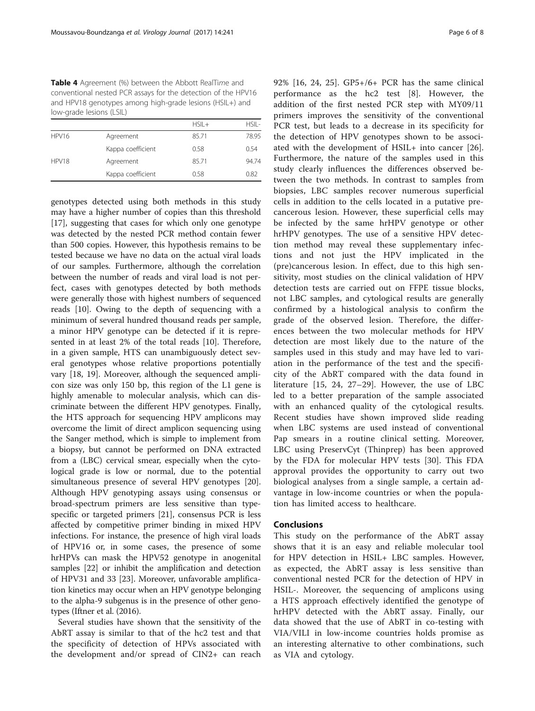<span id="page-5-0"></span>Table 4 Agreement (%) between the Abbott RealTime and conventional nested PCR assays for the detection of the HPV16 and HPV18 genotypes among high-grade lesions (HSIL+) and low-grade lesions (LSIL)

|       |                   | $HSII +$ | HSII - |
|-------|-------------------|----------|--------|
| HPV16 | Agreement         | 85.71    | 78.95  |
|       | Kappa coefficient | 0.58     | 0.54   |
| HPV18 | Agreement         | 85.71    | 94.74  |
|       | Kappa coefficient | 0.58     | 0.82   |

genotypes detected using both methods in this study may have a higher number of copies than this threshold [[17\]](#page-6-0), suggesting that cases for which only one genotype was detected by the nested PCR method contain fewer than 500 copies. However, this hypothesis remains to be tested because we have no data on the actual viral loads of our samples. Furthermore, although the correlation between the number of reads and viral load is not perfect, cases with genotypes detected by both methods were generally those with highest numbers of sequenced reads [[10](#page-6-0)]. Owing to the depth of sequencing with a minimum of several hundred thousand reads per sample, a minor HPV genotype can be detected if it is represented in at least 2% of the total reads [[10\]](#page-6-0). Therefore, in a given sample, HTS can unambiguously detect several genotypes whose relative proportions potentially vary [[18, 19](#page-6-0)]. Moreover, although the sequenced amplicon size was only 150 bp, this region of the L1 gene is highly amenable to molecular analysis, which can discriminate between the different HPV genotypes. Finally, the HTS approach for sequencing HPV amplicons may overcome the limit of direct amplicon sequencing using the Sanger method, which is simple to implement from a biopsy, but cannot be performed on DNA extracted from a (LBC) cervical smear, especially when the cytological grade is low or normal, due to the potential simultaneous presence of several HPV genotypes [\[20](#page-6-0)]. Although HPV genotyping assays using consensus or broad-spectrum primers are less sensitive than typespecific or targeted primers [\[21\]](#page-7-0), consensus PCR is less affected by competitive primer binding in mixed HPV infections. For instance, the presence of high viral loads of HPV16 or, in some cases, the presence of some hrHPVs can mask the HPV52 genotype in anogenital samples [[22](#page-7-0)] or inhibit the amplification and detection of HPV31 and 33 [[23\]](#page-7-0). Moreover, unfavorable amplification kinetics may occur when an HPV genotype belonging to the alpha-9 subgenus is in the presence of other genotypes (Iftner et al. (2016).

Several studies have shown that the sensitivity of the AbRT assay is similar to that of the hc2 test and that the specificity of detection of HPVs associated with the development and/or spread of CIN2+ can reach 92% [\[16](#page-6-0), [24, 25](#page-7-0)]. GP5+/6+ PCR has the same clinical performance as the hc2 test [[8\]](#page-6-0). However, the addition of the first nested PCR step with MY09/11 primers improves the sensitivity of the conventional PCR test, but leads to a decrease in its specificity for the detection of HPV genotypes shown to be associated with the development of HSIL+ into cancer [\[26](#page-7-0)]. Furthermore, the nature of the samples used in this study clearly influences the differences observed between the two methods. In contrast to samples from biopsies, LBC samples recover numerous superficial cells in addition to the cells located in a putative precancerous lesion. However, these superficial cells may be infected by the same hrHPV genotype or other hrHPV genotypes. The use of a sensitive HPV detection method may reveal these supplementary infections and not just the HPV implicated in the (pre)cancerous lesion. In effect, due to this high sensitivity, most studies on the clinical validation of HPV detection tests are carried out on FFPE tissue blocks, not LBC samples, and cytological results are generally confirmed by a histological analysis to confirm the grade of the observed lesion. Therefore, the differences between the two molecular methods for HPV detection are most likely due to the nature of the samples used in this study and may have led to variation in the performance of the test and the specificity of the AbRT compared with the data found in literature [[15,](#page-6-0) [24, 27](#page-7-0)–[29](#page-7-0)]. However, the use of LBC led to a better preparation of the sample associated with an enhanced quality of the cytological results. Recent studies have shown improved slide reading when LBC systems are used instead of conventional Pap smears in a routine clinical setting. Moreover, LBC using PreservCyt (Thinprep) has been approved by the FDA for molecular HPV tests [[30\]](#page-7-0). This FDA approval provides the opportunity to carry out two biological analyses from a single sample, a certain advantage in low-income countries or when the population has limited access to healthcare.

### Conclusions

This study on the performance of the AbRT assay shows that it is an easy and reliable molecular tool for HPV detection in HSIL+ LBC samples. However, as expected, the AbRT assay is less sensitive than conventional nested PCR for the detection of HPV in HSIL-. Moreover, the sequencing of amplicons using a HTS approach effectively identified the genotype of hrHPV detected with the AbRT assay. Finally, our data showed that the use of AbRT in co-testing with VIA/VILI in low-income countries holds promise as an interesting alternative to other combinations, such as VIA and cytology.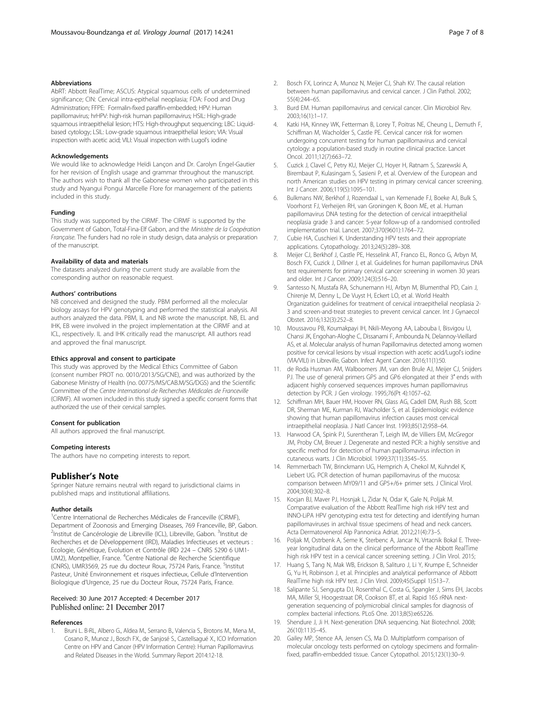#### <span id="page-6-0"></span>Abbreviations

AbRT: Abbott RealTime; ASCUS: Atypical squamous cells of undetermined significance; CIN: Cervical intra-epithelial neoplasia; FDA: Food and Drug Administration; FFPE: Formalin-fixed paraffin-embedded; HPV: Human papillomavirus; hrHPV: high-risk human papillomavirus; HSIL: High-grade squamous intraepithelial lesion; HTS: High-throughput sequencing; LBC: Liquidbased cytology; LSIL: Low-grade squamous intraepithelial lesion; VIA: Visual inspection with acetic acid; VILI: Visual inspection with Lugol's iodine

#### Acknowledgements

We would like to acknowledge Heïdi Lançon and Dr. Carolyn Engel-Gautier for her revision of English usage and grammar throughout the manuscript. The authors wish to thank all the Gabonese women who participated in this study and Nyangui Pongui Marcelle Flore for management of the patients included in this study.

#### Funding

This study was supported by the CIRMF. The CIRMF is supported by the Government of Gabon, Total-Fina-Elf Gabon, and the Ministère de la Coopération Française. The funders had no role in study design, data analysis or preparation of the manuscript.

#### Availability of data and materials

The datasets analyzed during the current study are available from the corresponding author on reasonable request.

#### Authors' contributions

NB conceived and designed the study. PBM performed all the molecular biology assays for HPV genotyping and performed the statistical analysis. All authors analyzed the data. PBM, IL and NB wrote the manuscript. NB, EL and IHK, EB were involved in the project implementation at the CIRMF and at ICL, respectively. IL and IHK critically read the manuscript. All authors read and approved the final manuscript.

#### Ethics approval and consent to participate

This study was approved by the Medical Ethics Committee of Gabon (consent number PROT no. 0010/2013/SG/CNE), and was authorized by the Gabonese Ministry of Health (no. 00775/MS/CAB.M/SG/DGS) and the Scientific Committee of the Centre International de Recherches Médicales de Franceville (CIRMF). All women included in this study signed a specific consent forms that authorized the use of their cervical samples.

#### Consent for publication

All authors approved the final manuscript.

#### Competing interests

The authors have no competing interests to report.

#### Publisher's Note

Springer Nature remains neutral with regard to jurisdictional claims in published maps and institutional affiliations.

#### Author details

<sup>1</sup>Centre International de Recherches Médicales de Franceville (CIRMF), Department of Zoonosis and Emerging Diseases, 769 Franceville, BP, Gabon. <sup>2</sup>Institut de Cancérologie de Libreville (ICL), Libreville, Gabon. <sup>3</sup>Institut de Recherches et de Développement (IRD), Maladies Infectieuses et vecteurs : Ecologie, Génétique, Evolution et Contrôle (IRD 224 – CNRS 5290 6 UM1- UM2), Montpellier, France. <sup>4</sup>Centre National de Recherche Scientifique (CNRS), UMR3569, 25 rue du docteur Roux, 75724 Paris, France. <sup>5</sup>Institut Pasteur, Unité Environnement et risques infectieux, Cellule d'Intervention Biologique d'Urgence, 25 rue du Docteur Roux, 75724 Paris, France.

# Received: 30 June 2017 Accepted: 4 December 2017

#### References

1. Bruni L. B-RL, Albero G., Aldea M., Serrano B., Valencia S., Brotons M., Mena M., Cosano R., Munoz J., Bosch FX., de Sanjosé S., Castellsagué X., ICO Information Centre on HPV and Cancer (HPV Information Centre): Human Papillomavirus and Related Diseases in the World. Summary Report 2014:12-18.

- 2. Bosch FX, Lorincz A, Munoz N, Meijer CJ, Shah KV. The causal relation between human papillomavirus and cervical cancer. J Clin Pathol. 2002; 55(4):244–65.
- 3. Burd EM. Human papillomavirus and cervical cancer. Clin Microbiol Rev. 2003;16(1):1–17.
- 4. Katki HA, Kinney WK, Fetterman B, Lorey T, Poitras NE, Cheung L, Demuth F, Schiffman M, Wacholder S, Castle PE. Cervical cancer risk for women undergoing concurrent testing for human papillomavirus and cervical cytology: a population-based study in routine clinical practice. Lancet Oncol. 2011;12(7):663–72.
- 5. Cuzick J, Clavel C, Petry KU, Meijer CJ, Hoyer H, Ratnam S, Szarewski A, Birembaut P, Kulasingam S, Sasieni P, et al. Overview of the European and north American studies on HPV testing in primary cervical cancer screening. Int J Cancer. 2006;119(5):1095–101.
- 6. Bulkmans NW, Berkhof J, Rozendaal L, van Kemenade FJ, Boeke AJ, Bulk S, Voorhorst FJ, Verheijen RH, van Groningen K, Boon ME, et al. Human papillomavirus DNA testing for the detection of cervical intraepithelial neoplasia grade 3 and cancer: 5-year follow-up of a randomised controlled implementation trial. Lancet. 2007;370(9601):1764–72.
- 7. Cubie HA, Cuschieri K. Understanding HPV tests and their appropriate applications. Cytopathology. 2013;24(5):289–308.
- 8. Meijer CJ, Berkhof J, Castle PE, Hesselink AT, Franco EL, Ronco G, Arbyn M, Bosch FX, Cuzick J, Dillner J, et al. Guidelines for human papillomavirus DNA test requirements for primary cervical cancer screening in women 30 years and older. Int J Cancer. 2009;124(3):516–20.
- 9. Santesso N, Mustafa RA, Schunemann HJ, Arbyn M, Blumenthal PD, Cain J, Chirenje M, Denny L, De Vuyst H, Eckert LO, et al. World Health Organization guidelines for treatment of cervical intraepithelial neoplasia 2- 3 and screen-and-treat strategies to prevent cervical cancer. Int J Gynaecol Obstet. 2016;132(3):252–8.
- 10. Moussavou PB, Koumakpayi IH, Nkili-Meyong AA, Labouba I, Bisvigou U, Chansi JK, Engohan-Aloghe C, Dissanami F, Ambounda N, Delannoy-Vieillard AS, et al. Molecular analysis of human Papillomavirus detected among women positive for cervical lesions by visual inspection with acetic acid/Lugol's iodine (VIA/VILI) in Libreville, Gabon. Infect Agent Cancer. 2016;11(1):50.
- 11. de Roda Husman AM, Walboomers JM, van den Brule AJ, Meijer CJ, Snijders PJ. The use of general primers GP5 and GP6 elongated at their 3′ ends with adjacent highly conserved sequences improves human papillomavirus detection by PCR. J Gen virology. 1995;76(Pt 4):1057–62.
- 12. Schiffman MH, Bauer HM, Hoover RN, Glass AG, Cadell DM, Rush BB, Scott DR, Sherman ME, Kurman RJ, Wacholder S, et al. Epidemiologic evidence showing that human papillomavirus infection causes most cervical intraepithelial neoplasia. J Natl Cancer Inst. 1993;85(12):958–64.
- 13. Harwood CA, Spink PJ, Surentheran T, Leigh IM, de Villiers EM, McGregor JM, Proby CM, Breuer J. Degenerate and nested PCR: a highly sensitive and specific method for detection of human papillomavirus infection in cutaneous warts. J Clin Microbiol. 1999;37(11):3545–55.
- 14. Remmerbach TW, Brinckmann UG, Hemprich A, Chekol M, Kuhndel K, Liebert UG. PCR detection of human papillomavirus of the mucosa: comparison between MY09/11 and GP5+/6+ primer sets. J Clinical Virol. 2004;30(4):302–8.
- 15. Kocjan BJ, Maver PJ, Hosnjak L, Zidar N, Odar K, Gale N, Poljak M. Comparative evaluation of the Abbott RealTime high risk HPV test and INNO-LiPA HPV genotyping extra test for detecting and identifying human papillomaviruses in archival tissue specimens of head and neck cancers. Acta Dermatovenerol Alp Pannonica Adriat. 2012;21(4):73–5.
- 16. Poljak M, Ostrbenk A, Seme K, Sterbenc A, Jancar N, Vrtacnik Bokal E. Threeyear longitudinal data on the clinical performance of the Abbott RealTime high risk HPV test in a cervical cancer screening setting. J Clin Virol. 2015;
- 17. Huang S, Tang N, Mak WB, Erickson B, Salituro J, Li Y, Krumpe E, Schneider G, Yu H, Robinson J, et al. Principles and analytical performance of Abbott RealTime high risk HPV test. J Clin Virol. 2009;45(Suppl 1):S13–7.
- 18. Salipante SJ, Sengupta DJ, Rosenthal C, Costa G, Spangler J, Sims EH, Jacobs MA, Miller SI, Hoogestraat DR, Cookson BT, et al. Rapid 16S rRNA nextgeneration sequencing of polymicrobial clinical samples for diagnosis of complex bacterial infections. PLoS One. 2013;8(5):e65226.
- 19. Shendure J, Ji H. Next-generation DNA sequencing. Nat Biotechnol. 2008; 26(10):1135–45.
- 20. Gailey MP, Stence AA, Jensen CS, Ma D. Multiplatform comparison of molecular oncology tests performed on cytology specimens and formalinfixed, paraffin-embedded tissue. Cancer Cytopathol. 2015;123(1):30–9.